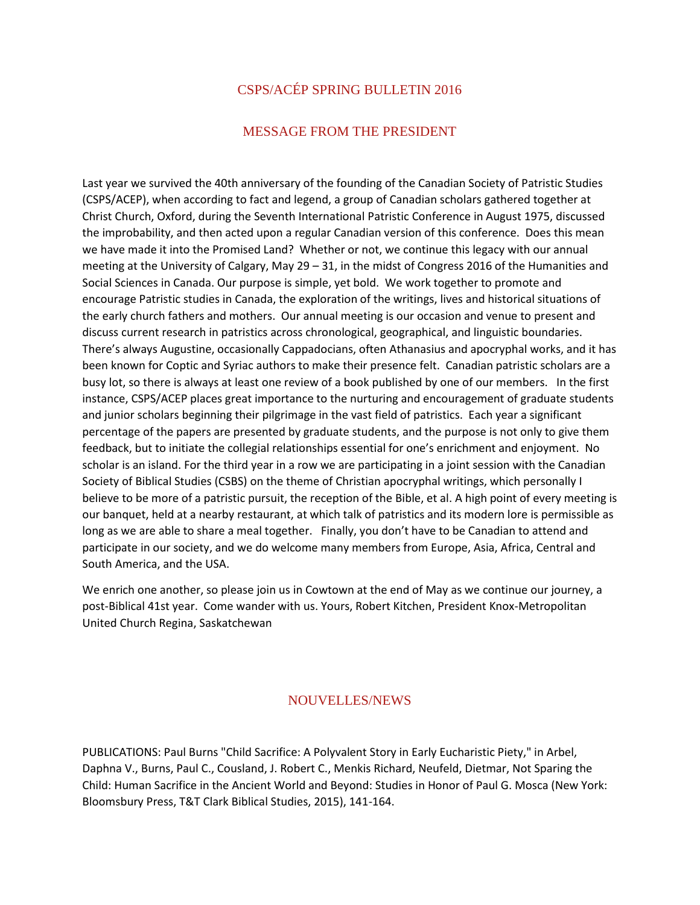# CSPS/ACÉP SPRING BULLETIN 2016

# MESSAGE FROM THE PRESIDENT

Last year we survived the 40th anniversary of the founding of the Canadian Society of Patristic Studies (CSPS/ACEP), when according to fact and legend, a group of Canadian scholars gathered together at Christ Church, Oxford, during the Seventh International Patristic Conference in August 1975, discussed the improbability, and then acted upon a regular Canadian version of this conference. Does this mean we have made it into the Promised Land? Whether or not, we continue this legacy with our annual meeting at the University of Calgary, May 29 – 31, in the midst of Congress 2016 of the Humanities and Social Sciences in Canada. Our purpose is simple, yet bold. We work together to promote and encourage Patristic studies in Canada, the exploration of the writings, lives and historical situations of the early church fathers and mothers. Our annual meeting is our occasion and venue to present and discuss current research in patristics across chronological, geographical, and linguistic boundaries. There's always Augustine, occasionally Cappadocians, often Athanasius and apocryphal works, and it has been known for Coptic and Syriac authors to make their presence felt. Canadian patristic scholars are a busy lot, so there is always at least one review of a book published by one of our members. In the first instance, CSPS/ACEP places great importance to the nurturing and encouragement of graduate students and junior scholars beginning their pilgrimage in the vast field of patristics. Each year a significant percentage of the papers are presented by graduate students, and the purpose is not only to give them feedback, but to initiate the collegial relationships essential for one's enrichment and enjoyment. No scholar is an island. For the third year in a row we are participating in a joint session with the Canadian Society of Biblical Studies (CSBS) on the theme of Christian apocryphal writings, which personally I believe to be more of a patristic pursuit, the reception of the Bible, et al. A high point of every meeting is our banquet, held at a nearby restaurant, at which talk of patristics and its modern lore is permissible as long as we are able to share a meal together. Finally, you don't have to be Canadian to attend and participate in our society, and we do welcome many members from Europe, Asia, Africa, Central and South America, and the USA.

We enrich one another, so please join us in Cowtown at the end of May as we continue our journey, a post-Biblical 41st year. Come wander with us. Yours, Robert Kitchen, President Knox-Metropolitan United Church Regina, Saskatchewan

## NOUVELLES/NEWS

PUBLICATIONS: Paul Burns "Child Sacrifice: A Polyvalent Story in Early Eucharistic Piety," in Arbel, Daphna V., Burns, Paul C., Cousland, J. Robert C., Menkis Richard, Neufeld, Dietmar, Not Sparing the Child: Human Sacrifice in the Ancient World and Beyond: Studies in Honor of Paul G. Mosca (New York: Bloomsbury Press, T&T Clark Biblical Studies, 2015), 141-164.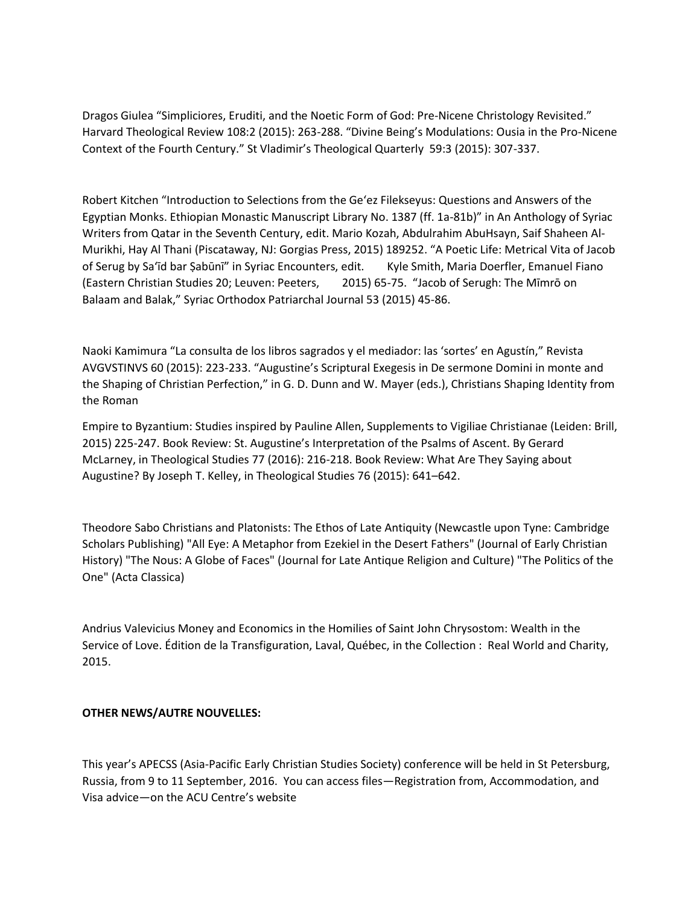Dragos Giulea "Simpliciores, Eruditi, and the Noetic Form of God: Pre-Nicene Christology Revisited." Harvard Theological Review 108:2 (2015): 263-288. "Divine Being's Modulations: Ousia in the Pro-Nicene Context of the Fourth Century." St Vladimir's Theological Quarterly 59:3 (2015): 307-337.

Robert Kitchen "Introduction to Selections from the Ge'ez Filekseyus: Questions and Answers of the Egyptian Monks. Ethiopian Monastic Manuscript Library No. 1387 (ff. 1a-81b)" in An Anthology of Syriac Writers from Qatar in the Seventh Century, edit. Mario Kozah, Abdulrahim AbuHsayn, Saif Shaheen Al-Murikhi, Hay Al Thani (Piscataway, NJ: Gorgias Press, 2015) 189252. "A Poetic Life: Metrical Vita of Jacob of Serug by Sa'īd bar Ṣabūnī" in Syriac Encounters, edit. Kyle Smith, Maria Doerfler, Emanuel Fiano (Eastern Christian Studies 20; Leuven: Peeters, 2015) 65-75. "Jacob of Serugh: The Mīmrō on Balaam and Balak," Syriac Orthodox Patriarchal Journal 53 (2015) 45-86.

Naoki Kamimura "La consulta de los libros sagrados y el mediador: las 'sortes' en Agustín," Revista AVGVSTINVS 60 (2015): 223-233. "Augustine's Scriptural Exegesis in De sermone Domini in monte and the Shaping of Christian Perfection," in G. D. Dunn and W. Mayer (eds.), Christians Shaping Identity from the Roman

Empire to Byzantium: Studies inspired by Pauline Allen, Supplements to Vigiliae Christianae (Leiden: Brill, 2015) 225-247. Book Review: St. Augustine's Interpretation of the Psalms of Ascent. By Gerard McLarney, in Theological Studies 77 (2016): 216-218. Book Review: What Are They Saying about Augustine? By Joseph T. Kelley, in Theological Studies 76 (2015): 641–642.

Theodore Sabo Christians and Platonists: The Ethos of Late Antiquity (Newcastle upon Tyne: Cambridge Scholars Publishing) "All Eye: A Metaphor from Ezekiel in the Desert Fathers" (Journal of Early Christian History) "The Nous: A Globe of Faces" (Journal for Late Antique Religion and Culture) "The Politics of the One" (Acta Classica)

Andrius Valevicius Money and Economics in the Homilies of Saint John Chrysostom: Wealth in the Service of Love. Édition de la Transfiguration, Laval, Québec, in the Collection : Real World and Charity, 2015.

## **OTHER NEWS/AUTRE NOUVELLES:**

This year's APECSS (Asia-Pacific Early Christian Studies Society) conference will be held in St Petersburg, Russia, from 9 to 11 September, 2016. You can access files—Registration from, Accommodation, and Visa advice—on the ACU Centre's website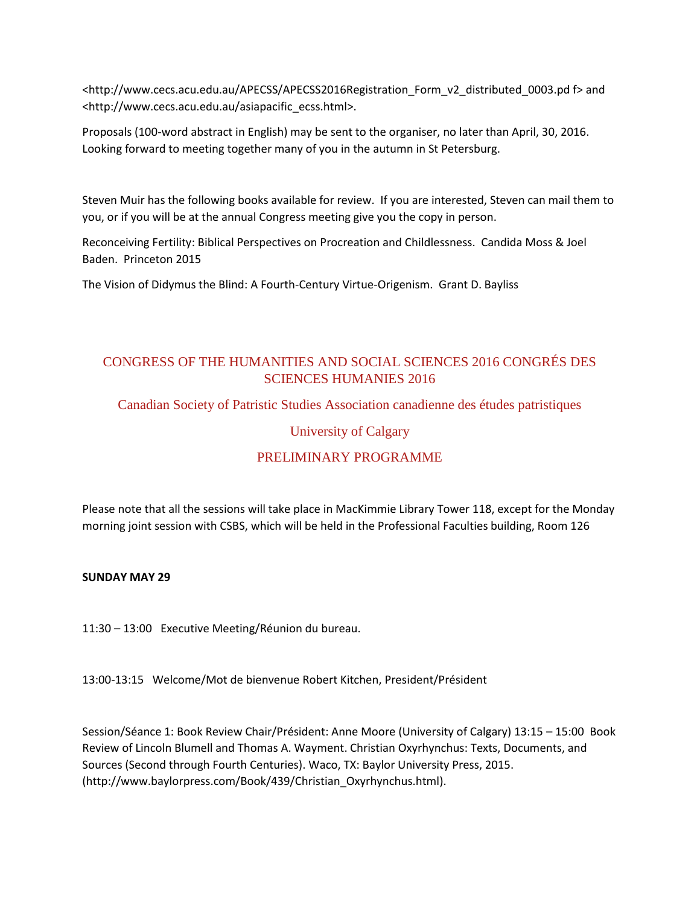<http://www.cecs.acu.edu.au/APECSS/APECSS2016Registration\_Form\_v2\_distributed\_0003.pd f> and <http://www.cecs.acu.edu.au/asiapacific\_ecss.html>.

Proposals (100-word abstract in English) may be sent to the organiser, no later than April, 30, 2016. Looking forward to meeting together many of you in the autumn in St Petersburg.

Steven Muir has the following books available for review. If you are interested, Steven can mail them to you, or if you will be at the annual Congress meeting give you the copy in person.

Reconceiving Fertility: Biblical Perspectives on Procreation and Childlessness. Candida Moss & Joel Baden. Princeton 2015

The Vision of Didymus the Blind: A Fourth-Century Virtue-Origenism. Grant D. Bayliss

# CONGRESS OF THE HUMANITIES AND SOCIAL SCIENCES 2016 CONGRÉS DES SCIENCES HUMANIES 2016

Canadian Society of Patristic Studies Association canadienne des études patristiques

# University of Calgary

# PRELIMINARY PROGRAMME

Please note that all the sessions will take place in MacKimmie Library Tower 118, except for the Monday morning joint session with CSBS, which will be held in the Professional Faculties building, Room 126

## **SUNDAY MAY 29**

11:30 – 13:00 Executive Meeting/Réunion du bureau.

13:00-13:15 Welcome/Mot de bienvenue Robert Kitchen, President/Président

Session/Séance 1: Book Review Chair/Président: Anne Moore (University of Calgary) 13:15 – 15:00 Book Review of Lincoln Blumell and Thomas A. Wayment. Christian Oxyrhynchus: Texts, Documents, and Sources (Second through Fourth Centuries). Waco, TX: Baylor University Press, 2015. (http://www.baylorpress.com/Book/439/Christian\_Oxyrhynchus.html).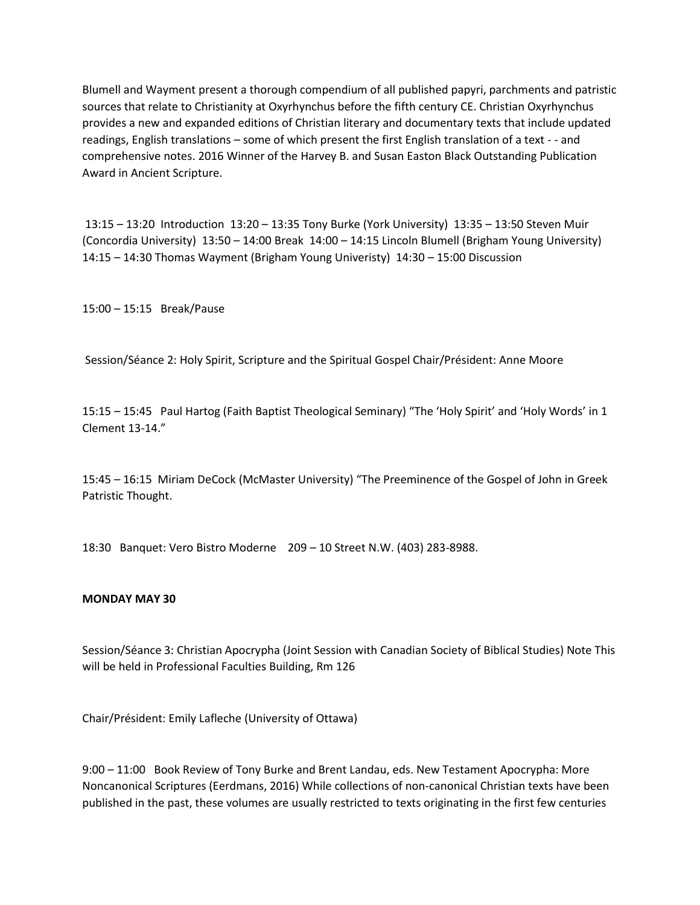Blumell and Wayment present a thorough compendium of all published papyri, parchments and patristic sources that relate to Christianity at Oxyrhynchus before the fifth century CE. Christian Oxyrhynchus provides a new and expanded editions of Christian literary and documentary texts that include updated readings, English translations – some of which present the first English translation of a text - - and comprehensive notes. 2016 Winner of the Harvey B. and Susan Easton Black Outstanding Publication Award in Ancient Scripture.

13:15 – 13:20 Introduction 13:20 – 13:35 Tony Burke (York University) 13:35 – 13:50 Steven Muir (Concordia University) 13:50 – 14:00 Break 14:00 – 14:15 Lincoln Blumell (Brigham Young University) 14:15 – 14:30 Thomas Wayment (Brigham Young Univeristy) 14:30 – 15:00 Discussion

15:00 – 15:15 Break/Pause

Session/Séance 2: Holy Spirit, Scripture and the Spiritual Gospel Chair/Président: Anne Moore

15:15 – 15:45 Paul Hartog (Faith Baptist Theological Seminary) "The 'Holy Spirit' and 'Holy Words' in 1 Clement 13-14."

15:45 – 16:15 Miriam DeCock (McMaster University) "The Preeminence of the Gospel of John in Greek Patristic Thought.

18:30 Banquet: Vero Bistro Moderne 209 – 10 Street N.W. (403) 283-8988.

#### **MONDAY MAY 30**

Session/Séance 3: Christian Apocrypha (Joint Session with Canadian Society of Biblical Studies) Note This will be held in Professional Faculties Building, Rm 126

Chair/Président: Emily Lafleche (University of Ottawa)

9:00 – 11:00 Book Review of Tony Burke and Brent Landau, eds. New Testament Apocrypha: More Noncanonical Scriptures (Eerdmans, 2016) While collections of non-canonical Christian texts have been published in the past, these volumes are usually restricted to texts originating in the first few centuries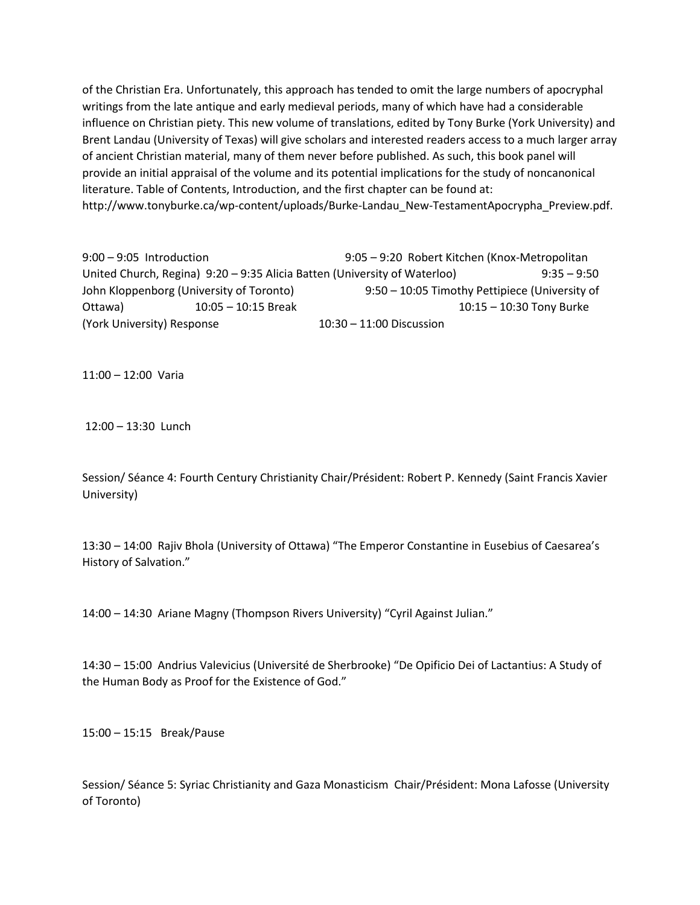of the Christian Era. Unfortunately, this approach has tended to omit the large numbers of apocryphal writings from the late antique and early medieval periods, many of which have had a considerable influence on Christian piety. This new volume of translations, edited by Tony Burke (York University) and Brent Landau (University of Texas) will give scholars and interested readers access to a much larger array of ancient Christian material, many of them never before published. As such, this book panel will provide an initial appraisal of the volume and its potential implications for the study of noncanonical literature. Table of Contents, Introduction, and the first chapter can be found at: http://www.tonyburke.ca/wp-content/uploads/Burke-Landau\_New-TestamentApocrypha\_Preview.pdf.

9:00 – 9:05 Introduction 9:05 – 9:20 Robert Kitchen (Knox-Metropolitan United Church, Regina) 9:20 – 9:35 Alicia Batten (University of Waterloo) 9:35 – 9:50 John Kloppenborg (University of Toronto) 9:50 – 10:05 Timothy Pettipiece (University of Ottawa) 10:05 – 10:15 Break 10:15 – 10:30 Tony Burke (York University) Response 10:30 – 11:00 Discussion

11:00 – 12:00 Varia

12:00 – 13:30 Lunch

Session/ Séance 4: Fourth Century Christianity Chair/Président: Robert P. Kennedy (Saint Francis Xavier University)

13:30 – 14:00 Rajiv Bhola (University of Ottawa) "The Emperor Constantine in Eusebius of Caesarea's History of Salvation."

14:00 – 14:30 Ariane Magny (Thompson Rivers University) "Cyril Against Julian."

14:30 – 15:00 Andrius Valevicius (Université de Sherbrooke) "De Opificio Dei of Lactantius: A Study of the Human Body as Proof for the Existence of God."

15:00 – 15:15 Break/Pause

Session/ Séance 5: Syriac Christianity and Gaza Monasticism Chair/Président: Mona Lafosse (University of Toronto)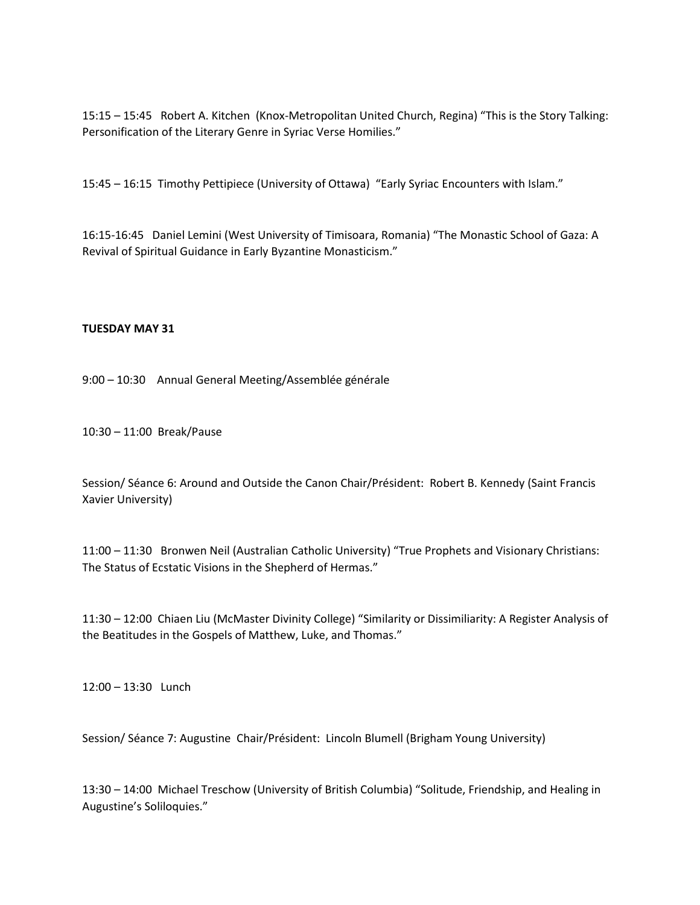15:15 – 15:45 Robert A. Kitchen (Knox-Metropolitan United Church, Regina) "This is the Story Talking: Personification of the Literary Genre in Syriac Verse Homilies."

15:45 – 16:15 Timothy Pettipiece (University of Ottawa) "Early Syriac Encounters with Islam."

16:15-16:45 Daniel Lemini (West University of Timisoara, Romania) "The Monastic School of Gaza: A Revival of Spiritual Guidance in Early Byzantine Monasticism."

#### **TUESDAY MAY 31**

9:00 – 10:30 Annual General Meeting/Assemblée générale

10:30 – 11:00 Break/Pause

Session/ Séance 6: Around and Outside the Canon Chair/Président: Robert B. Kennedy (Saint Francis Xavier University)

11:00 – 11:30 Bronwen Neil (Australian Catholic University) "True Prophets and Visionary Christians: The Status of Ecstatic Visions in the Shepherd of Hermas."

11:30 – 12:00 Chiaen Liu (McMaster Divinity College) "Similarity or Dissimiliarity: A Register Analysis of the Beatitudes in the Gospels of Matthew, Luke, and Thomas."

12:00 – 13:30 Lunch

Session/ Séance 7: Augustine Chair/Président: Lincoln Blumell (Brigham Young University)

13:30 – 14:00 Michael Treschow (University of British Columbia) "Solitude, Friendship, and Healing in Augustine's Soliloquies."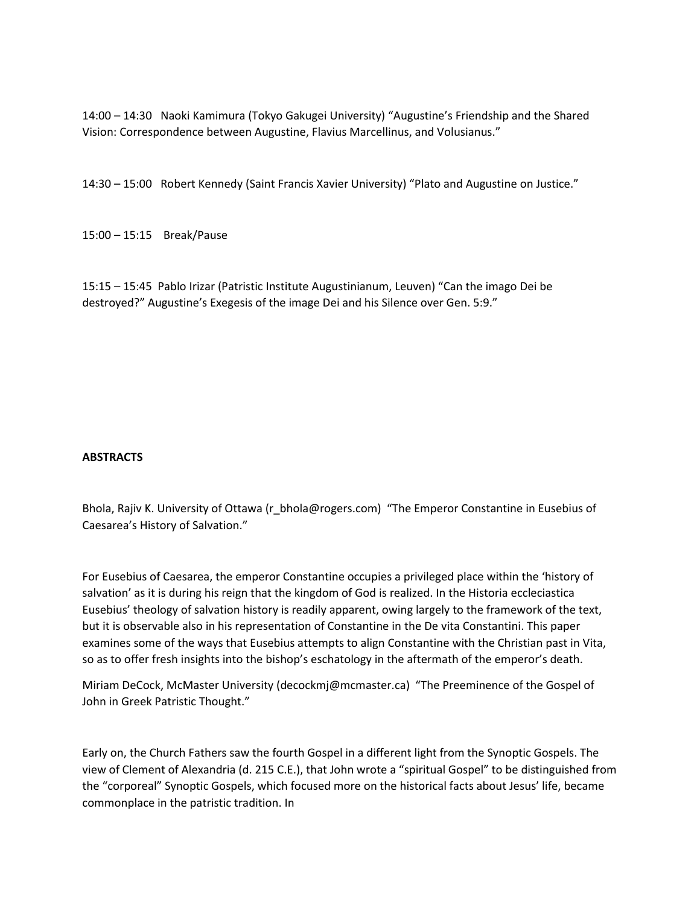14:00 – 14:30 Naoki Kamimura (Tokyo Gakugei University) "Augustine's Friendship and the Shared Vision: Correspondence between Augustine, Flavius Marcellinus, and Volusianus."

14:30 – 15:00 Robert Kennedy (Saint Francis Xavier University) "Plato and Augustine on Justice."

15:00 – 15:15 Break/Pause

15:15 – 15:45 Pablo Irizar (Patristic Institute Augustinianum, Leuven) "Can the imago Dei be destroyed?" Augustine's Exegesis of the image Dei and his Silence over Gen. 5:9."

## **ABSTRACTS**

Bhola, Rajiv K. University of Ottawa (r\_bhola@rogers.com) "The Emperor Constantine in Eusebius of Caesarea's History of Salvation."

For Eusebius of Caesarea, the emperor Constantine occupies a privileged place within the 'history of salvation' as it is during his reign that the kingdom of God is realized. In the Historia eccleciastica Eusebius' theology of salvation history is readily apparent, owing largely to the framework of the text, but it is observable also in his representation of Constantine in the De vita Constantini. This paper examines some of the ways that Eusebius attempts to align Constantine with the Christian past in Vita, so as to offer fresh insights into the bishop's eschatology in the aftermath of the emperor's death.

Miriam DeCock, McMaster University (decockmj@mcmaster.ca) "The Preeminence of the Gospel of John in Greek Patristic Thought."

Early on, the Church Fathers saw the fourth Gospel in a different light from the Synoptic Gospels. The view of Clement of Alexandria (d. 215 C.E.), that John wrote a "spiritual Gospel" to be distinguished from the "corporeal" Synoptic Gospels, which focused more on the historical facts about Jesus' life, became commonplace in the patristic tradition. In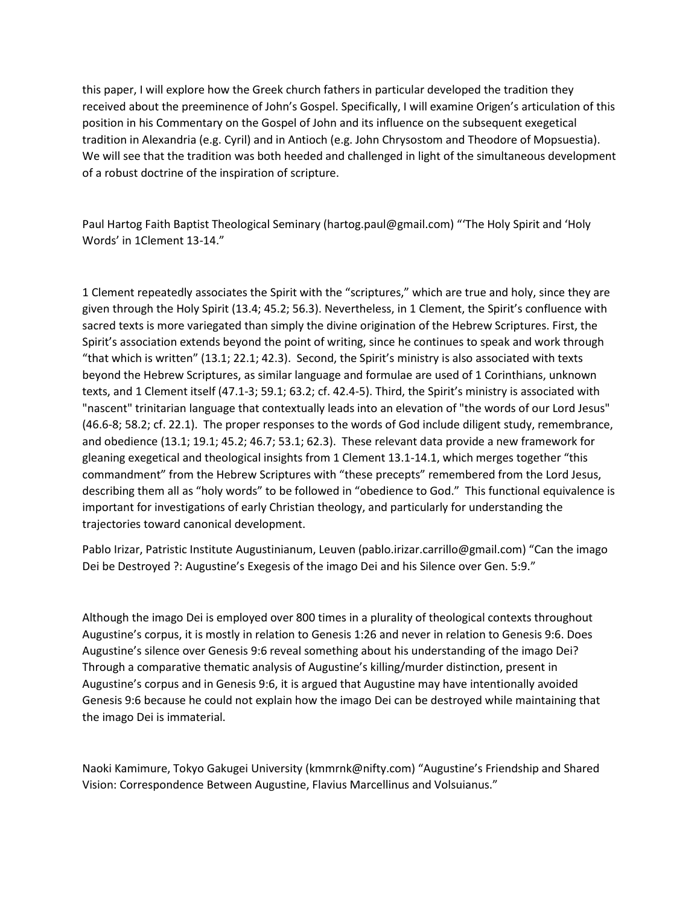this paper, I will explore how the Greek church fathers in particular developed the tradition they received about the preeminence of John's Gospel. Specifically, I will examine Origen's articulation of this position in his Commentary on the Gospel of John and its influence on the subsequent exegetical tradition in Alexandria (e.g. Cyril) and in Antioch (e.g. John Chrysostom and Theodore of Mopsuestia). We will see that the tradition was both heeded and challenged in light of the simultaneous development of a robust doctrine of the inspiration of scripture.

Paul Hartog Faith Baptist Theological Seminary (hartog.paul@gmail.com) "'The Holy Spirit and 'Holy Words' in 1Clement 13-14."

1 Clement repeatedly associates the Spirit with the "scriptures," which are true and holy, since they are given through the Holy Spirit (13.4; 45.2; 56.3). Nevertheless, in 1 Clement, the Spirit's confluence with sacred texts is more variegated than simply the divine origination of the Hebrew Scriptures. First, the Spirit's association extends beyond the point of writing, since he continues to speak and work through "that which is written" (13.1; 22.1; 42.3). Second, the Spirit's ministry is also associated with texts beyond the Hebrew Scriptures, as similar language and formulae are used of 1 Corinthians, unknown texts, and 1 Clement itself (47.1-3; 59.1; 63.2; cf. 42.4-5). Third, the Spirit's ministry is associated with "nascent" trinitarian language that contextually leads into an elevation of "the words of our Lord Jesus" (46.6-8; 58.2; cf. 22.1). The proper responses to the words of God include diligent study, remembrance, and obedience (13.1; 19.1; 45.2; 46.7; 53.1; 62.3). These relevant data provide a new framework for gleaning exegetical and theological insights from 1 Clement 13.1-14.1, which merges together "this commandment" from the Hebrew Scriptures with "these precepts" remembered from the Lord Jesus, describing them all as "holy words" to be followed in "obedience to God." This functional equivalence is important for investigations of early Christian theology, and particularly for understanding the trajectories toward canonical development.

Pablo Irizar, Patristic Institute Augustinianum, Leuven (pablo.irizar.carrillo@gmail.com) "Can the imago Dei be Destroyed ?: Augustine's Exegesis of the imago Dei and his Silence over Gen. 5:9."

Although the imago Dei is employed over 800 times in a plurality of theological contexts throughout Augustine's corpus, it is mostly in relation to Genesis 1:26 and never in relation to Genesis 9:6. Does Augustine's silence over Genesis 9:6 reveal something about his understanding of the imago Dei? Through a comparative thematic analysis of Augustine's killing/murder distinction, present in Augustine's corpus and in Genesis 9:6, it is argued that Augustine may have intentionally avoided Genesis 9:6 because he could not explain how the imago Dei can be destroyed while maintaining that the imago Dei is immaterial.

Naoki Kamimure, Tokyo Gakugei University (kmmrnk@nifty.com) "Augustine's Friendship and Shared Vision: Correspondence Between Augustine, Flavius Marcellinus and Volsuianus."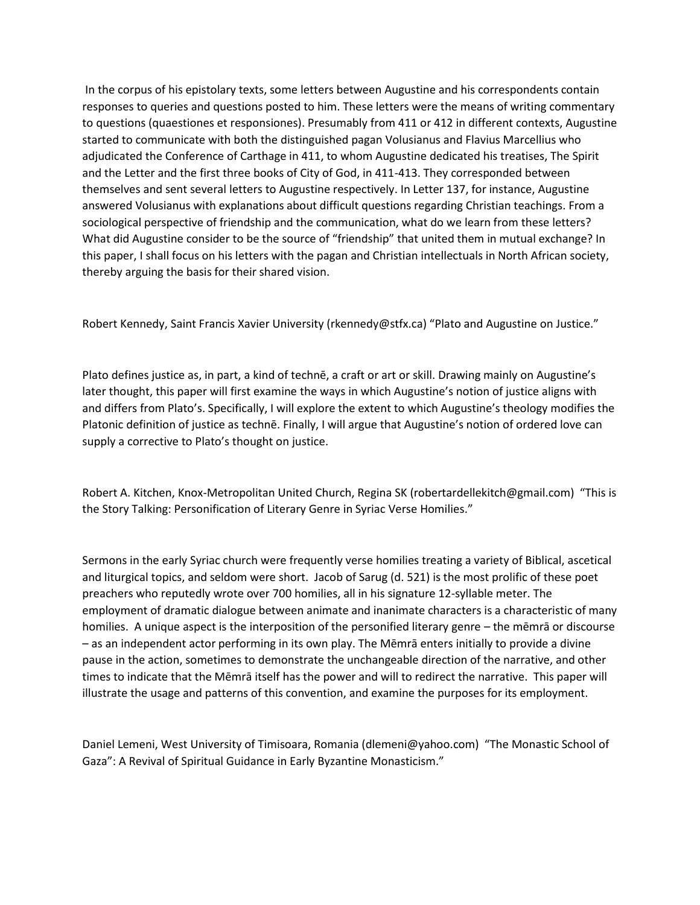In the corpus of his epistolary texts, some letters between Augustine and his correspondents contain responses to queries and questions posted to him. These letters were the means of writing commentary to questions (quaestiones et responsiones). Presumably from 411 or 412 in different contexts, Augustine started to communicate with both the distinguished pagan Volusianus and Flavius Marcellius who adjudicated the Conference of Carthage in 411, to whom Augustine dedicated his treatises, The Spirit and the Letter and the first three books of City of God, in 411-413. They corresponded between themselves and sent several letters to Augustine respectively. In Letter 137, for instance, Augustine answered Volusianus with explanations about difficult questions regarding Christian teachings. From a sociological perspective of friendship and the communication, what do we learn from these letters? What did Augustine consider to be the source of "friendship" that united them in mutual exchange? In this paper, I shall focus on his letters with the pagan and Christian intellectuals in North African society, thereby arguing the basis for their shared vision.

Robert Kennedy, Saint Francis Xavier University (rkennedy@stfx.ca) "Plato and Augustine on Justice."

Plato defines justice as, in part, a kind of technē, a craft or art or skill. Drawing mainly on Augustine's later thought, this paper will first examine the ways in which Augustine's notion of justice aligns with and differs from Plato's. Specifically, I will explore the extent to which Augustine's theology modifies the Platonic definition of justice as technē. Finally, I will argue that Augustine's notion of ordered love can supply a corrective to Plato's thought on justice.

Robert A. Kitchen, Knox-Metropolitan United Church, Regina SK (robertardellekitch@gmail.com) "This is the Story Talking: Personification of Literary Genre in Syriac Verse Homilies."

Sermons in the early Syriac church were frequently verse homilies treating a variety of Biblical, ascetical and liturgical topics, and seldom were short. Jacob of Sarug (d. 521) is the most prolific of these poet preachers who reputedly wrote over 700 homilies, all in his signature 12-syllable meter. The employment of dramatic dialogue between animate and inanimate characters is a characteristic of many homilies. A unique aspect is the interposition of the personified literary genre – the mēmrā or discourse – as an independent actor performing in its own play. The Mēmrā enters initially to provide a divine pause in the action, sometimes to demonstrate the unchangeable direction of the narrative, and other times to indicate that the Mēmrā itself has the power and will to redirect the narrative. This paper will illustrate the usage and patterns of this convention, and examine the purposes for its employment.

Daniel Lemeni, West University of Timisoara, Romania (dlemeni@yahoo.com) "The Monastic School of Gaza": A Revival of Spiritual Guidance in Early Byzantine Monasticism."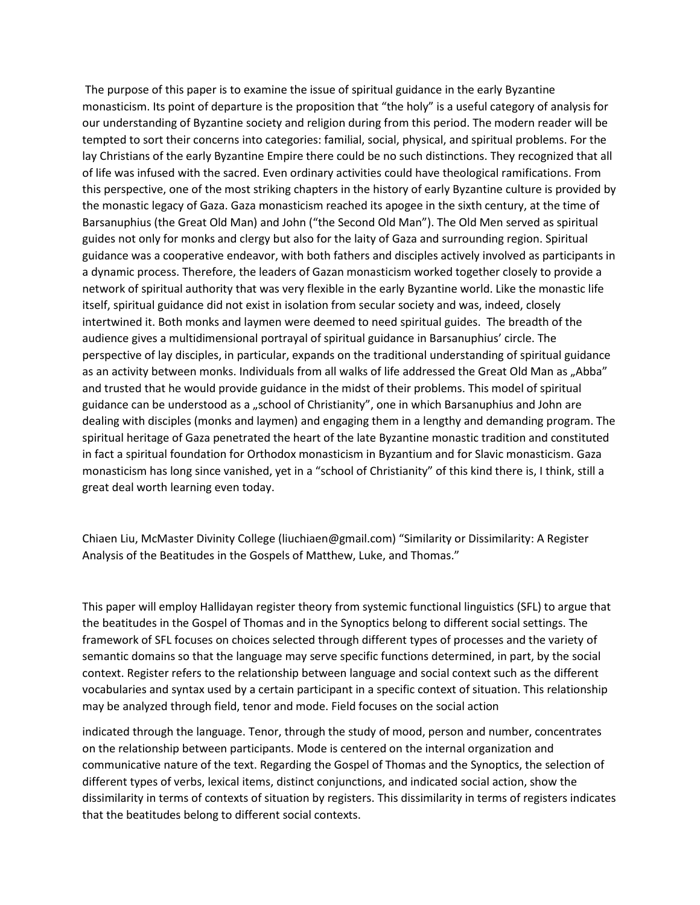The purpose of this paper is to examine the issue of spiritual guidance in the early Byzantine monasticism. Its point of departure is the proposition that "the holy" is a useful category of analysis for our understanding of Byzantine society and religion during from this period. The modern reader will be tempted to sort their concerns into categories: familial, social, physical, and spiritual problems. For the lay Christians of the early Byzantine Empire there could be no such distinctions. They recognized that all of life was infused with the sacred. Even ordinary activities could have theological ramifications. From this perspective, one of the most striking chapters in the history of early Byzantine culture is provided by the monastic legacy of Gaza. Gaza monasticism reached its apogee in the sixth century, at the time of Barsanuphius (the Great Old Man) and John ("the Second Old Man"). The Old Men served as spiritual guides not only for monks and clergy but also for the laity of Gaza and surrounding region. Spiritual guidance was a cooperative endeavor, with both fathers and disciples actively involved as participants in a dynamic process. Therefore, the leaders of Gazan monasticism worked together closely to provide a network of spiritual authority that was very flexible in the early Byzantine world. Like the monastic life itself, spiritual guidance did not exist in isolation from secular society and was, indeed, closely intertwined it. Both monks and laymen were deemed to need spiritual guides. The breadth of the audience gives a multidimensional portrayal of spiritual guidance in Barsanuphius' circle. The perspective of lay disciples, in particular, expands on the traditional understanding of spiritual guidance as an activity between monks. Individuals from all walks of life addressed the Great Old Man as "Abba" and trusted that he would provide guidance in the midst of their problems. This model of spiritual guidance can be understood as a "school of Christianity", one in which Barsanuphius and John are dealing with disciples (monks and laymen) and engaging them in a lengthy and demanding program. The spiritual heritage of Gaza penetrated the heart of the late Byzantine monastic tradition and constituted in fact a spiritual foundation for Orthodox monasticism in Byzantium and for Slavic monasticism. Gaza monasticism has long since vanished, yet in a "school of Christianity" of this kind there is, I think, still a great deal worth learning even today.

Chiaen Liu, McMaster Divinity College (liuchiaen@gmail.com) "Similarity or Dissimilarity: A Register Analysis of the Beatitudes in the Gospels of Matthew, Luke, and Thomas."

This paper will employ Hallidayan register theory from systemic functional linguistics (SFL) to argue that the beatitudes in the Gospel of Thomas and in the Synoptics belong to different social settings. The framework of SFL focuses on choices selected through different types of processes and the variety of semantic domains so that the language may serve specific functions determined, in part, by the social context. Register refers to the relationship between language and social context such as the different vocabularies and syntax used by a certain participant in a specific context of situation. This relationship may be analyzed through field, tenor and mode. Field focuses on the social action

indicated through the language. Tenor, through the study of mood, person and number, concentrates on the relationship between participants. Mode is centered on the internal organization and communicative nature of the text. Regarding the Gospel of Thomas and the Synoptics, the selection of different types of verbs, lexical items, distinct conjunctions, and indicated social action, show the dissimilarity in terms of contexts of situation by registers. This dissimilarity in terms of registers indicates that the beatitudes belong to different social contexts.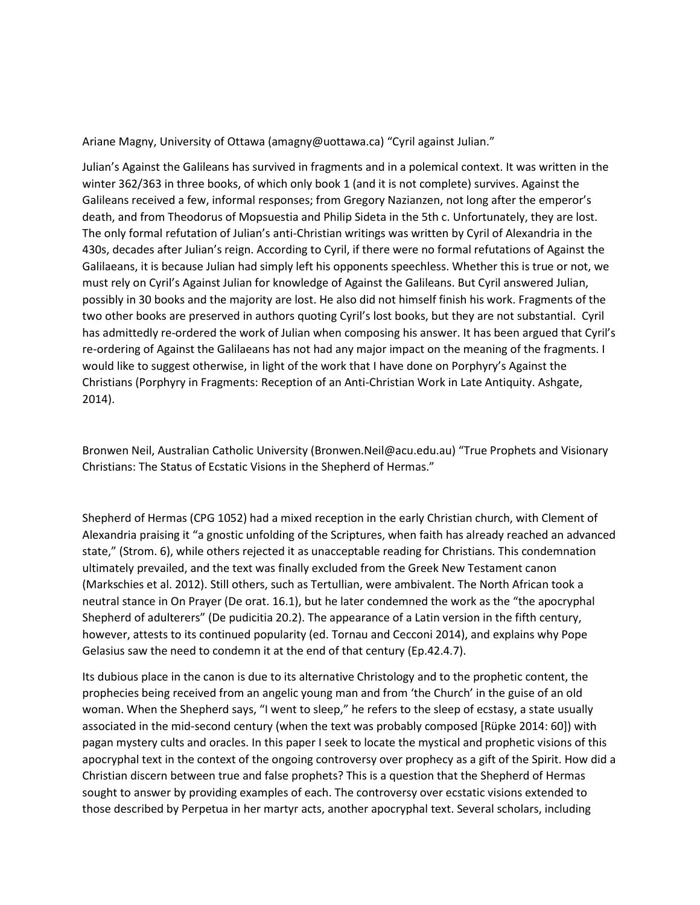Ariane Magny, University of Ottawa (amagny@uottawa.ca) "Cyril against Julian."

Julian's Against the Galileans has survived in fragments and in a polemical context. It was written in the winter 362/363 in three books, of which only book 1 (and it is not complete) survives. Against the Galileans received a few, informal responses; from Gregory Nazianzen, not long after the emperor's death, and from Theodorus of Mopsuestia and Philip Sideta in the 5th c. Unfortunately, they are lost. The only formal refutation of Julian's anti-Christian writings was written by Cyril of Alexandria in the 430s, decades after Julian's reign. According to Cyril, if there were no formal refutations of Against the Galilaeans, it is because Julian had simply left his opponents speechless. Whether this is true or not, we must rely on Cyril's Against Julian for knowledge of Against the Galileans. But Cyril answered Julian, possibly in 30 books and the majority are lost. He also did not himself finish his work. Fragments of the two other books are preserved in authors quoting Cyril's lost books, but they are not substantial. Cyril has admittedly re-ordered the work of Julian when composing his answer. It has been argued that Cyril's re-ordering of Against the Galilaeans has not had any major impact on the meaning of the fragments. I would like to suggest otherwise, in light of the work that I have done on Porphyry's Against the Christians (Porphyry in Fragments: Reception of an Anti-Christian Work in Late Antiquity. Ashgate, 2014).

Bronwen Neil, Australian Catholic University (Bronwen.Neil@acu.edu.au) "True Prophets and Visionary Christians: The Status of Ecstatic Visions in the Shepherd of Hermas."

Shepherd of Hermas (CPG 1052) had a mixed reception in the early Christian church, with Clement of Alexandria praising it "a gnostic unfolding of the Scriptures, when faith has already reached an advanced state," (Strom. 6), while others rejected it as unacceptable reading for Christians. This condemnation ultimately prevailed, and the text was finally excluded from the Greek New Testament canon (Markschies et al. 2012). Still others, such as Tertullian, were ambivalent. The North African took a neutral stance in On Prayer (De orat. 16.1), but he later condemned the work as the "the apocryphal Shepherd of adulterers" (De pudicitia 20.2). The appearance of a Latin version in the fifth century, however, attests to its continued popularity (ed. Tornau and Cecconi 2014), and explains why Pope Gelasius saw the need to condemn it at the end of that century (Ep.42.4.7).

Its dubious place in the canon is due to its alternative Christology and to the prophetic content, the prophecies being received from an angelic young man and from 'the Church' in the guise of an old woman. When the Shepherd says, "I went to sleep," he refers to the sleep of ecstasy, a state usually associated in the mid-second century (when the text was probably composed [Rüpke 2014: 60]) with pagan mystery cults and oracles. In this paper I seek to locate the mystical and prophetic visions of this apocryphal text in the context of the ongoing controversy over prophecy as a gift of the Spirit. How did a Christian discern between true and false prophets? This is a question that the Shepherd of Hermas sought to answer by providing examples of each. The controversy over ecstatic visions extended to those described by Perpetua in her martyr acts, another apocryphal text. Several scholars, including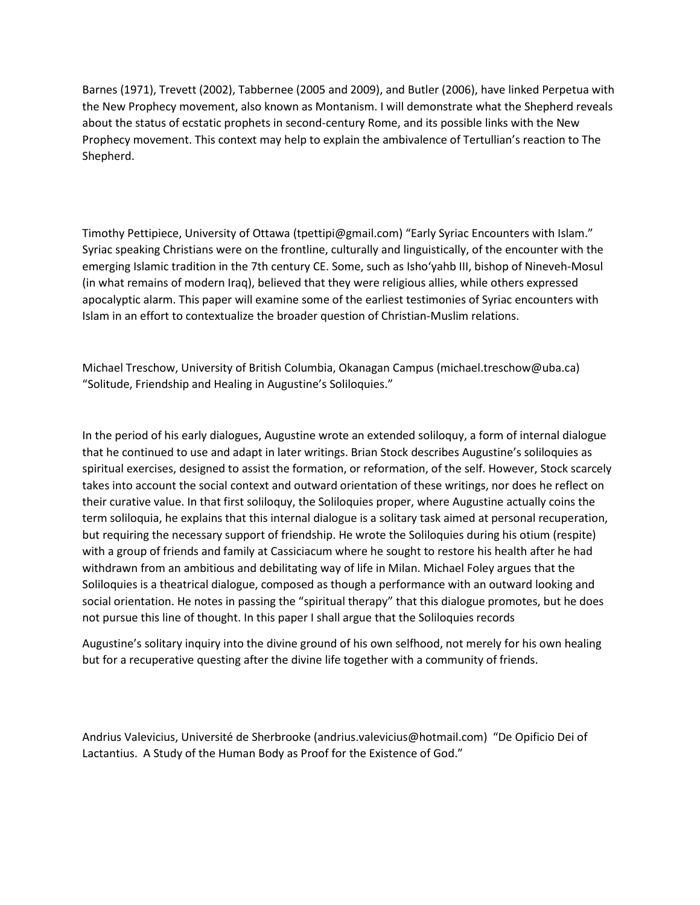Barnes (1971), Trevett (2002), Tabbernee (2005 and 2009), and Butler (2006), have linked Perpetua with the New Prophecy movement, also known as Montanism. I will demonstrate what the Shepherd reveals about the status of ecstatic prophets in second-century Rome, and its possible links with the New Prophecy movement. This context may help to explain the ambivalence of Tertullian's reaction to The Shepherd.

Timothy Pettipiece, University of Ottawa (tpettipi@gmail.com) "Early Syriac Encounters with Islam." Syriac speaking Christians were on the frontline, culturally and linguistically, of the encounter with the emerging Islamic tradition in the 7th century CE. Some, such as Isho'yahb III, bishop of Nineveh-Mosul (in what remains of modern Iraq), believed that they were religious allies, while others expressed apocalyptic alarm. This paper will examine some of the earliest testimonies of Syriac encounters with Islam in an effort to contextualize the broader question of Christian-Muslim relations.

Michael Treschow, University of British Columbia, Okanagan Campus (michael.treschow@uba.ca) "Solitude, Friendship and Healing in Augustine's Soliloquies."

In the period of his early dialogues, Augustine wrote an extended soliloquy, a form of internal dialogue that he continued to use and adapt in later writings. Brian Stock describes Augustine's soliloquies as spiritual exercises, designed to assist the formation, or reformation, of the self. However, Stock scarcely takes into account the social context and outward orientation of these writings, nor does he reflect on their curative value. In that first soliloquy, the Soliloquies proper, where Augustine actually coins the term soliloquia, he explains that this internal dialogue is a solitary task aimed at personal recuperation, but requiring the necessary support of friendship. He wrote the Soliloquies during his otium (respite) with a group of friends and family at Cassiciacum where he sought to restore his health after he had withdrawn from an ambitious and debilitating way of life in Milan. Michael Foley argues that the Soliloquies is a theatrical dialogue, composed as though a performance with an outward looking and social orientation. He notes in passing the "spiritual therapy" that this dialogue promotes, but he does not pursue this line of thought. In this paper I shall argue that the Soliloquies records

Augustine's solitary inquiry into the divine ground of his own selfhood, not merely for his own healing but for a recuperative questing after the divine life together with a community of friends.

Andrius Valevicius, Université de Sherbrooke (andrius.valevicius@hotmail.com) "De Opificio Dei of Lactantius. A Study of the Human Body as Proof for the Existence of God."